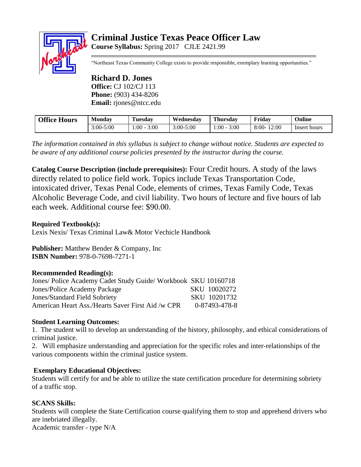# **Criminal Justice Texas Peace Officer Law Course Syllabus:** Spring 2017 CJLE 2421.99



"Northeast Texas Community College exists to provide responsible, exemplary learning opportunities."

### **Richard D. Jones Office:** CJ 102/CJ 113 **Phone:** (903) 434-8206 **Email:** rjones@ntcc.edu

| <b>Office Hours</b> | <b>Monday</b> | m<br>Tuesdav   | Wednesdav | <b>Thursday</b> | Friday           | Online       |
|---------------------|---------------|----------------|-----------|-----------------|------------------|--------------|
|                     | $3:00 - 5:00$ | 3:00<br>1:00 - | 3:00-5:00 | 3:00<br>. :00   | 12:00<br>$8:00-$ | Insert hours |

*The information contained in this syllabus is subject to change without notice. Students are expected to be aware of any additional course policies presented by the instructor during the course.*

**Catalog Course Description (include prerequisites):** Four Credit hours. A study of the laws directly related to police field work. Topics include Texas Transportation Code, intoxicated driver, Texas Penal Code, elements of crimes, Texas Family Code, Texas Alcoholic Beverage Code, and civil liability. Two hours of lecture and five hours of lab each week. Additional course fee: \$90.00.

## **Required Textbook(s):**

Lexis Nexis/ Texas Criminal Law& Motor Vechicle Handbook

**Publisher:** Matthew Bender & Company, Inc **ISBN Number:** 978-0-7698-7271-1

## **Recommended Reading(s):**

| Jones/ Police Academy Cadet Study Guide/ Workbook SKU 10160718 |               |
|----------------------------------------------------------------|---------------|
| Jones/Police Academy Package                                   | SKU 10020272  |
| <b>Jones/Standard Field Sobriety</b>                           | SKU 10201732  |
| American Heart Ass./Hearts Saver First Aid /w CPR              | 0-87493-478-8 |

## **Student Learning Outcomes:**

1. The student will to develop an understanding of the history, philosophy, and ethical considerations of criminal justice.

2. Will emphasize understanding and appreciation for the specific roles and inter-relationships of the various components within the criminal justice system.

## **Exemplary Educational Objectives:**

Students will certify for and be able to utilize the state certification procedure for determining sobriety of a traffic stop.

## **SCANS Skills:**

Students will complete the State Certification course qualifying them to stop and apprehend drivers who are inebriated illegally.

Academic transfer - type N/A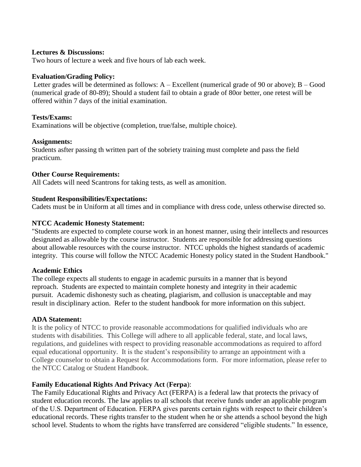### **Lectures & Discussions:**

Two hours of lecture a week and five hours of lab each week.

#### **Evaluation/Grading Policy:**

Letter grades will be determined as follows: A – Excellent (numerical grade of 90 or above); B – Good (numerical grade of 80-89); Should a student fail to obtain a grade of 80or better, one retest will be offered within 7 days of the initial examination.

#### **Tests/Exams:**

Examinations will be objective (completion, true/false, multiple choice).

#### **Assignments:**

Students asfter passing th written part of the sobriety training must complete and pass the field practicum.

#### **Other Course Requirements:**

All Cadets will need Scantrons for taking tests, as well as amonition.

#### **Student Responsibilities/Expectations:**

Cadets must be in Uniform at all times and in compliance with dress code, unless otherwise directed so.

#### **NTCC Academic Honesty Statement:**

"Students are expected to complete course work in an honest manner, using their intellects and resources designated as allowable by the course instructor. Students are responsible for addressing questions about allowable resources with the course instructor. NTCC upholds the highest standards of academic integrity. This course will follow the NTCC Academic Honesty policy stated in the Student Handbook."

#### **Academic Ethics**

The college expects all students to engage in academic pursuits in a manner that is beyond reproach. Students are expected to maintain complete honesty and integrity in their academic pursuit. Academic dishonesty such as cheating, plagiarism, and collusion is unacceptable and may result in disciplinary action. Refer to the student handbook for more information on this subject.

#### **ADA Statement:**

It is the policy of NTCC to provide reasonable accommodations for qualified individuals who are students with disabilities. This College will adhere to all applicable federal, state, and local laws, regulations, and guidelines with respect to providing reasonable accommodations as required to afford equal educational opportunity. It is the student's responsibility to arrange an appointment with a College counselor to obtain a Request for Accommodations form. For more information, please refer to the NTCC Catalog or Student Handbook.

#### **Family Educational Rights And Privacy Act** (**Ferpa**):

The Family Educational Rights and Privacy Act (FERPA) is a federal law that protects the privacy of student education records. The law applies to all schools that receive funds under an applicable program of the U.S. Department of Education. FERPA gives parents certain rights with respect to their children's educational records. These rights transfer to the student when he or she attends a school beyond the high school level. Students to whom the rights have transferred are considered "eligible students." In essence,